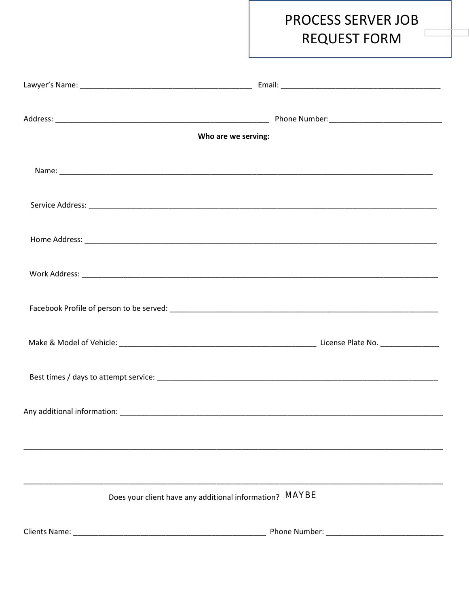

## PROCESS SERVER JOB **REQUEST FORM**

|                                          | Who are we serving:                                     |
|------------------------------------------|---------------------------------------------------------|
|                                          |                                                         |
|                                          |                                                         |
|                                          |                                                         |
|                                          |                                                         |
| Facebook Profile of person to be served: | lement                                                  |
|                                          |                                                         |
|                                          |                                                         |
|                                          |                                                         |
|                                          |                                                         |
|                                          |                                                         |
|                                          | Does your client have any additional information? MAYBE |
|                                          |                                                         |